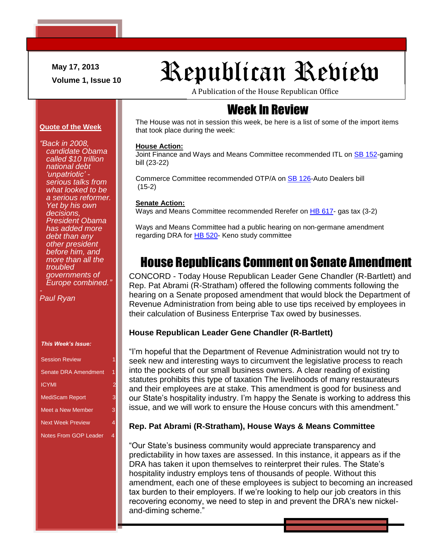**May 17, 2013**

# May 17, 2013<br>Volume 1, Issue 10<br>**Republican Republican**

A Publication of the House Republican Office

# Week In Review

The House was not in session this week, be here is a list of some of the import items that took place during the week:

### **House Action:**

Joint Finance and Ways and Means Committee recommended ITL on SB [152-](http://www.gencourt.state.nh.us/legislation/2013/SB0152.html)gaming bill (23-22)

Commerce Committee recommended OTP/A on [SB 126-](http://www.gencourt.state.nh.us/legislation/2013/SB0126.html)Auto Dealers bill (15-2)

### **Senate Action:**

Ways and Means Committee recommended Rerefer on [HB 617-](http://www.gencourt.state.nh.us/legislation/2013/HB0617.html) gas tax (3-2)

Ways and Means Committee had a public hearing on non-germane amendment regarding DRA for [HB 520-](http://www.gencourt.state.nh.us/legislation/2013/HB0520.html) Keno study committee

# House Republicans Comment on Senate Amendment

CONCORD - Today House Republican Leader Gene Chandler (R-Bartlett) and Rep. Pat Abrami (R-Stratham) offered the following comments following the hearing on a Senate proposed amendment that would block the Department of Revenue Administration from being able to use tips received by employees in their calculation of Business Enterprise Tax owed by businesses.

## **House Republican Leader Gene Chandler (R-Bartlett)**

"I'm hopeful that the Department of Revenue Administration would not try to seek new and interesting ways to circumvent the legislative process to reach into the pockets of our small business owners. A clear reading of existing statutes prohibits this type of taxation The livelihoods of many restaurateurs and their employees are at stake. This amendment is good for business and our State's hospitality industry. I'm happy the Senate is working to address this issue, and we will work to ensure the House concurs with this amendment."

### **Rep. Pat Abrami (R-Stratham), House Ways & Means Committee**

"Our State's business community would appreciate transparency and predictability in how taxes are assessed. In this instance, it appears as if the DRA has taken it upon themselves to reinterpret their rules. The State's hospitality industry employs tens of thousands of people. Without this amendment, each one of these employees is subject to becoming an increased tax burden to their employers. If we're looking to help our job creators in this recovering economy, we need to step in and prevent the DRA's new nickeland-diming scheme."

*called \$10 trillion national debt 'unpatriotic' serious talks from what looked to be a serious reformer. Yet by his own decisions, President Obama has added more debt than any other president before him, and more than all the troubled governments of Europe combined."*

**Quote of the Week**

*candidate Obama* 

*"Back in 2008,* 

*Paul Ryan*

*This Week's Issue:*

| <b>Session Review</b>        |   |
|------------------------------|---|
| Senate DRA Amendment         | 1 |
| <b>ICYMI</b>                 |   |
| <b>MediScam Report</b>       | 3 |
| Meet a New Member            | 3 |
| <b>Next Week Preview</b>     |   |
| <b>Notes From GOP Leader</b> |   |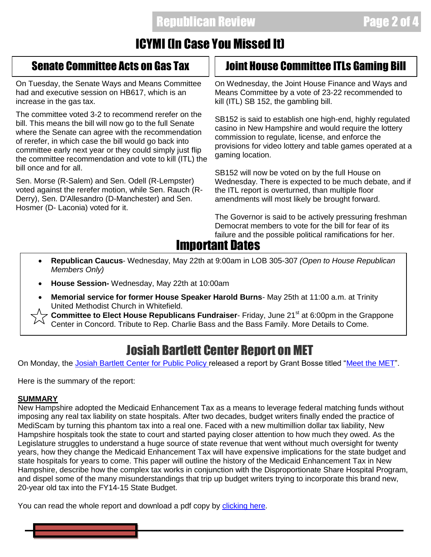# ICYMI (In Case You Missed It)

On Tuesday, the Senate Ways and Means Committee had and executive session on HB617, which is an increase in the gas tax.

The committee voted 3-2 to recommend rerefer on the bill. This means the bill will now go to the full Senate where the Senate can agree with the recommendation of rerefer, in which case the bill would go back into committee early next year or they could simply just flip the committee recommendation and vote to kill (ITL) the bill once and for all.

Sen. Morse (R-Salem) and Sen. Odell (R-Lempster) voted against the rerefer motion, while Sen. Rauch (R-Derry), Sen. D'Allesandro (D-Manchester) and Sen. Hosmer (D- Laconia) voted for it.

## Senate Committee Acts on Gas Tax  $||$  Joint House Committee ITLs Gaming Bill

On Wednesday, the Joint House Finance and Ways and Means Committee by a vote of 23-22 recommended to kill (ITL) SB 152, the gambling bill.

SB152 is said to establish one high-end, highly regulated casino in New Hampshire and would require the lottery commission to regulate, license, and enforce the provisions for video lottery and table games operated at a gaming location.

SB152 will now be voted on by the full House on Wednesday. There is expected to be much debate, and if the ITL report is overturned, than multiple floor amendments will most likely be brought forward.

The Governor is said to be actively pressuring freshman Democrat members to vote for the bill for fear of its failure and the possible political ramifications for her.

# Important Dates

- **Republican Caucus** Wednesday, May 22th at 9:00am in LOB 305-307 *(Open to House Republican Members Only)*
- **House Session-** Wednesday, May 22th at 10:00am
- **Memorial service for former House Speaker Harold Burns** May 25th at 11:00 a.m. at Trinity United Methodist Church in Whitefield.

**Committee to Elect House Republicans Fundraiser**- Friday, June 21<sup>st</sup> at 6:00pm in the Grappone Center in Concord. Tribute to Rep. Charlie Bass and the Bass Family. More Details to Come.

# Josiah Bartlett Center Report on MET

On Monday, the [Josiah Bartlett Center for Public Policy r](http://www.jbartlett.org/)eleased a report by Grant Bosse titled ["Meet the MET"](http://www.jbartlett.org/meet-the-met).

Here is the summary of the report:

## **SUMMARY**

Ī

New Hampshire adopted the Medicaid Enhancement Tax as a means to leverage federal matching funds without imposing any real tax liability on state hospitals. After two decades, budget writers finally ended the practice of MediScam by turning this phantom tax into a real one. Faced with a new multimillion dollar tax liability, New Hampshire hospitals took the state to court and started paying closer attention to how much they owed. As the Legislature struggles to understand a huge source of state revenue that went without much oversight for twenty years, how they change the Medicaid Enhancement Tax will have expensive implications for the state budget and state hospitals for years to come. This paper will outline the history of the Medicaid Enhancement Tax in New Hampshire, describe how the complex tax works in conjunction with the Disproportionate Share Hospital Program, and dispel some of the many misunderstandings that trip up budget writers trying to incorporate this brand new, 20-year old tax into the FY14-15 State Budget.

You can read the whole report and download a pdf copy by [clicking here.](http://www.jbartlett.org/wp-content/uploads/2013/05/Meet-the-MET-May-2013.pdf)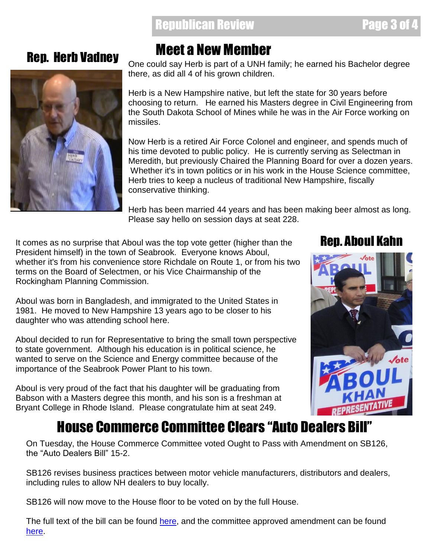## Republican Review Page 3 of 4



# Rep. Herb Vadney Meet a New Member

One could say Herb is part of a UNH family; he earned his Bachelor degree there, as did all 4 of his grown children.

Herb is a New Hampshire native, but left the state for 30 years before choosing to return. He earned his Masters degree in Civil Engineering from the South Dakota School of Mines while he was in the Air Force working on missiles.

Now Herb is a retired Air Force Colonel and engineer, and spends much of his time devoted to public policy. He is currently serving as Selectman in Meredith, but previously Chaired the Planning Board for over a dozen years. Whether it's in town politics or in his work in the House Science committee, Herb tries to keep a nucleus of traditional New Hampshire, fiscally conservative thinking.

Herb has been married 44 years and has been making beer almost as long. Please say hello on session days at seat 228.

It comes as no surprise that Aboul was the top vote getter (higher than the **Rep. Aboul Kahn** President himself) in the town of Seabrook. Everyone knows Aboul, whether it's from his convenience store Richdale on Route 1, or from his two terms on the Board of Selectmen, or his Vice Chairmanship of the Rockingham Planning Commission.

Aboul was born in Bangladesh, and immigrated to the United States in 1981. He moved to New Hampshire 13 years ago to be closer to his daughter who was attending school here.

Aboul decided to run for Representative to bring the small town perspective to state government. Although his education is in political science, he wanted to serve on the Science and Energy committee because of the importance of the Seabrook Power Plant to his town.

Aboul is very proud of the fact that his daughter will be graduating from Babson with a Masters degree this month, and his son is a freshman at Bryant College in Rhode Island. Please congratulate him at seat 249.



# House Commerce Committee Clears "Auto Dealers Bill"

On Tuesday, the House Commerce Committee voted Ought to Pass with Amendment on SB126, the "Auto Dealers Bill" 15-2.

SB126 revises business practices between motor vehicle manufacturers, distributors and dealers, including rules to allow NH dealers to buy locally.

SB126 will now move to the House floor to be voted on by the full House.

The full text of the bill can be found [here,](http://www.gencourt.state.nh.us/legislation/2013/SB0126.html) and the committee approved amendment can be found [here.](http://www.gencourt.state.nh.us/legislation/amendments/2013-1699H.html)